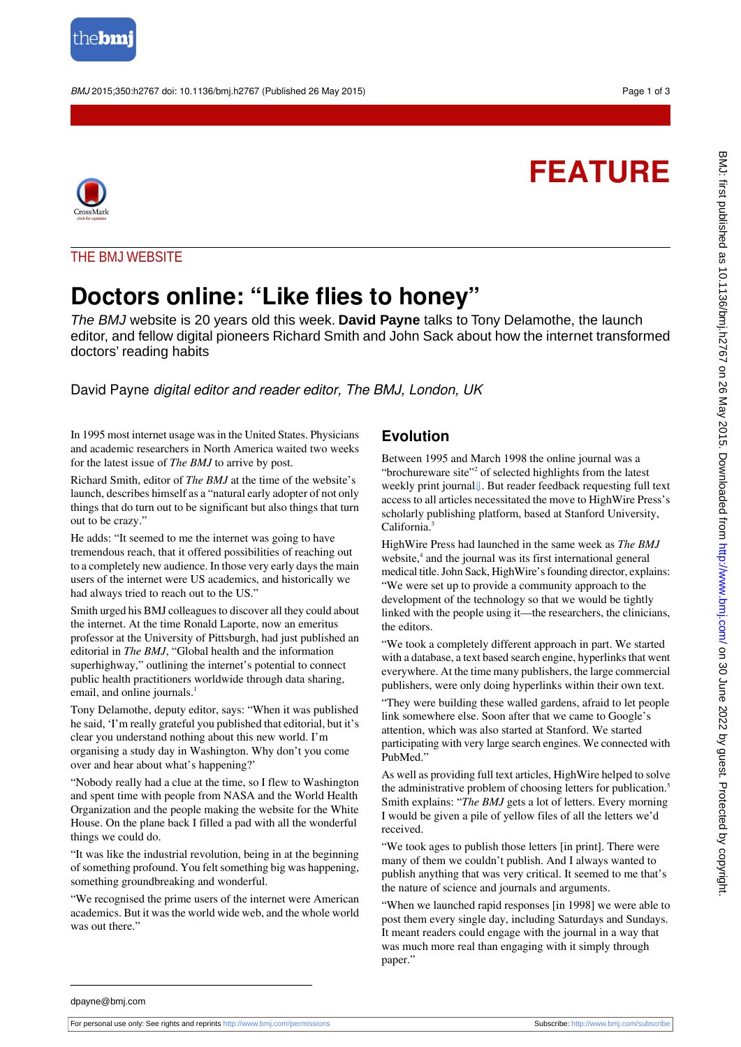

BMJ 2015;350:h2767 doi: 10.1136/bmj.h2767 (Published 26 May 2015) Page 1 of 3

# **FEATURE**



#### THE BMJ WEBSITE

## **Doctors online: "Like flies to honey"**

*The BMJ* website is 20 years old this week. **David Payne** talks to Tony Delamothe, the launch editor, and fellow digital pioneers Richard Smith and John Sack about how the internet transformed doctors' reading habits

#### David Payne digital editor and reader editor, The BMJ, London, UK

In 1995 most internet usage was in the United States. Physicians and academic researchers in North America waited two weeks for the latest issue of *The BMJ* to arrive by post.

Richard Smith, editor of *The BMJ* at the time of the website's launch, describes himself as a "natural early adopter of not only things that do turn out to be significant but also things that turn out to be crazy."

He adds: "It seemed to me the internet was going to have tremendous reach, that it offered possibilities of reaching out to a completely new audience. In those very early days the main users of the internet were US academics, and historically we had always tried to reach out to the US."

Smith urged his BMJ colleagues to discover all they could about the internet. At the time Ronald Laporte, now an emeritus professor at the University of Pittsburgh, had just published an editorial in *The BMJ*, "Global health and the information superhighway," outlining the internet's potential to connect public health practitioners worldwide through data sharing, email, and online journals.<sup>1</sup>

Tony Delamothe, deputy editor, says: "When it was published he said, 'I'm really grateful you published that editorial, but it's clear you understand nothing about this new world. I'm organising a study day in Washington. Why don't you come over and hear about what's happening?'

"Nobody really had a clue at the time, so I flew to Washington and spent time with people from NASA and the World Health Organization and the people making the website for the White House. On the plane back I filled a pad with all the wonderful things we could do.

"It was like the industrial revolution, being in at the beginning of something profound. You felt something big was happening, something groundbreaking and wonderful.

"We recognised the prime users of the internet were American academics. But it was the world wide web, and the whole world was out there."

#### **Evolution**

Between 1995 and March 1998 the online journal was a "brochureware site"<sup>2</sup> of selected highlights from the latest weekly print journal[⇓.](#page-2-0) But reader feedback requesting full text access to all articles necessitated the move to HighWire Press's scholarly publishing platform, based at Stanford University, California.<sup>3</sup>

HighWire Press had launched in the same week as *The BMJ* website,<sup>4</sup> and the journal was its first international general medical title. John Sack, HighWire's founding director, explains: "We were set up to provide a community approach to the development of the technology so that we would be tightly linked with the people using it—the researchers, the clinicians, the editors.

"We took a completely different approach in part. We started with a database, a text based search engine, hyperlinks that went everywhere. At the time many publishers, the large commercial publishers, were only doing hyperlinks within their own text.

"They were building these walled gardens, afraid to let people link somewhere else. Soon after that we came to Google's attention, which was also started at Stanford. We started participating with very large search engines. We connected with PubMed."

As well as providing full text articles, HighWire helped to solve the administrative problem of choosing letters for publication.<sup>5</sup> Smith explains: "*The BMJ* gets a lot of letters. Every morning I would be given a pile of yellow files of all the letters we'd received.

"We took ages to publish those letters [in print]. There were many of them we couldn't publish. And I always wanted to publish anything that was very critical. It seemed to me that's the nature of science and journals and arguments.

"When we launched rapid responses [in 1998] we were able to post them every single day, including Saturdays and Sundays. It meant readers could engage with the journal in a way that was much more real than engaging with it simply through paper."

dpayne@bmj.com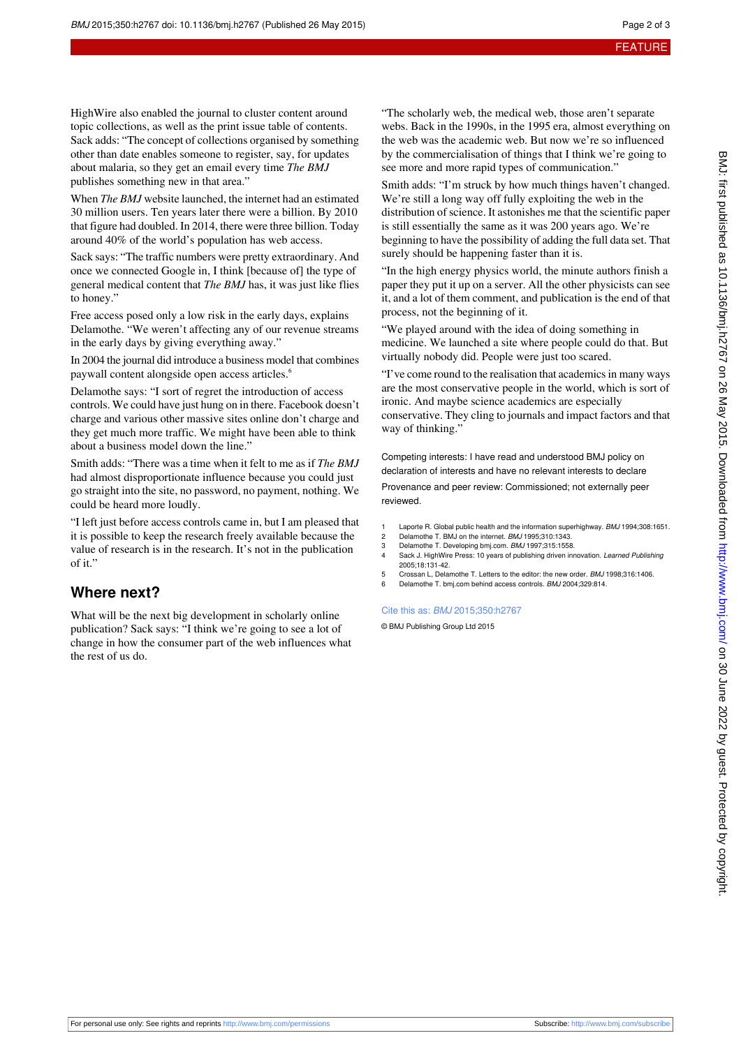HighWire also enabled the journal to cluster content around topic collections, as well as the print issue table of contents. Sack adds: "The concept of collections organised by something other than date enables someone to register, say, for updates about malaria, so they get an email every time *The BMJ* publishes something new in that area."

When *The BMJ* website launched, the internet had an estimated 30 million users. Ten years later there were a billion. By 2010 that figure had doubled. In 2014, there were three billion. Today around 40% of the world's population has web access.

Sack says: "The traffic numbers were pretty extraordinary. And once we connected Google in, I think [because of] the type of general medical content that *The BMJ* has, it was just like flies to honey."

Free access posed only a low risk in the early days, explains Delamothe. "We weren't affecting any of our revenue streams in the early days by giving everything away."

In 2004 the journal did introduce a business model that combines paywall content alongside open access articles.<sup>6</sup>

Delamothe says: "I sort of regret the introduction of access controls. We could have just hung on in there. Facebook doesn't charge and various other massive sites online don't charge and they get much more traffic. We might have been able to think about a business model down the line."

Smith adds: "There was a time when it felt to me as if *The BMJ* had almost disproportionate influence because you could just go straight into the site, no password, no payment, nothing. We could be heard more loudly.

"I left just before access controls came in, but I am pleased that it is possible to keep the research freely available because the value of research is in the research. It's not in the publication of it."

#### **Where next?**

What will be the next big development in scholarly online publication? Sack says: "I think we're going to see a lot of change in how the consumer part of the web influences what the rest of us do.

"The scholarly web, the medical web, those aren't separate webs. Back in the 1990s, in the 1995 era, almost everything on the web was the academic web. But now we're so influenced by the commercialisation of things that I think we're going to see more and more rapid types of communication."

Smith adds: "I'm struck by how much things haven't changed. We're still a long way off fully exploiting the web in the distribution of science. It astonishes me that the scientific paper is still essentially the same as it was 200 years ago. We're beginning to have the possibility of adding the full data set. That surely should be happening faster than it is.

"In the high energy physics world, the minute authors finish a paper they put it up on a server. All the other physicists can see it, and a lot of them comment, and publication is the end of that process, not the beginning of it.

"We played around with the idea of doing something in medicine. We launched a site where people could do that. But virtually nobody did. People were just too scared.

"I've come round to the realisation that academics in many ways are the most conservative people in the world, which is sort of ironic. And maybe science academics are especially conservative. They cling to journals and impact factors and that way of thinking."

Competing interests: I have read and understood BMJ policy on declaration of interests and have no relevant interests to declare Provenance and peer review: Commissioned; not externally peer reviewed.

- 1 Laporte R. Global public health and the information superhighway. BMJ 1994;308:1651.<br>2 Delamothe T. BMJ on the internet. BMJ 1995:310:1343.
- 2 Delamothe T. BMJ on the internet. BMJ 1995;310:1343.<br>2 Delamothe T. Developing bmi com BMJ 1997:315:1558
- 3 Delamothe T. Developing bmj.com. BMJ 1997;315:1558.
- 4 Sack J. HighWire Press: 10 years of publishing driven innovation. Learned Publishing 2005;18:131-42.
- 5 Crossan L, Delamothe T. Letters to the editor: the new order. BMJ 1998;316:1406. 6 Delamothe T. bmj.com behind access controls. BMJ 2004;329:814.

#### Cite this as: BMJ 2015;350:h2767

© BMJ Publishing Group Ltd 2015